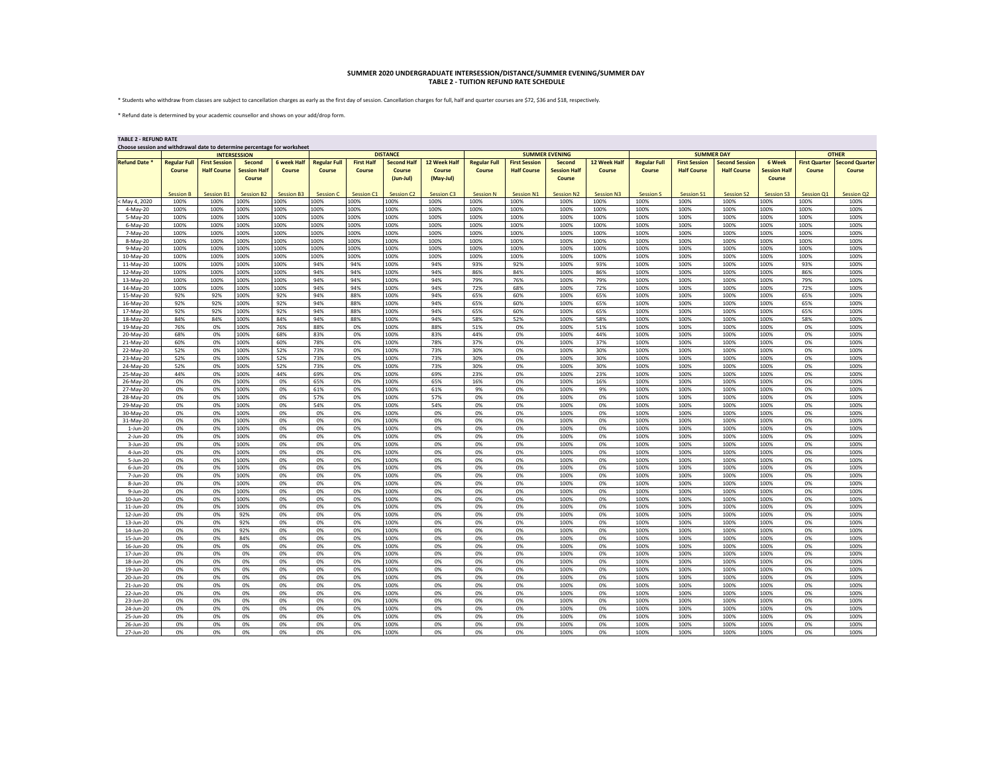## **SUMMER 2020 UNDERGRADUATE INTERSESSION/DISTANCE/SUMMER EVENING/SUMMER DAY TABLE 2 - TUITION REFUND RATE SCHEDULE**

\* Students who withdraw from classes are subject to cancellation charges as early as the first day of session. Cancellation charges for full, half and quarter courses are \$72, \$36 and \$18, respectively.

\* Refund date is determined by your academic counsellor and shows on your add/drop form.

| <b>TABLE 2 - REFUND RATE</b><br>Choose session and withdrawal date to determine percentage for worksheet |                     |                      |                               |                    |                     |                   |                     |                     |                     |                      |                               |                   |                     |                      |                       |                               |                      |                       |  |
|----------------------------------------------------------------------------------------------------------|---------------------|----------------------|-------------------------------|--------------------|---------------------|-------------------|---------------------|---------------------|---------------------|----------------------|-------------------------------|-------------------|---------------------|----------------------|-----------------------|-------------------------------|----------------------|-----------------------|--|
|                                                                                                          | <b>INTERSESSION</b> |                      |                               |                    |                     | <b>DISTANCE</b>   |                     |                     |                     |                      | <b>SUMMER EVENING</b>         |                   |                     | <b>SUMMER DAY</b>    |                       |                               |                      | <b>OTHER</b>          |  |
| <b>Refund Date</b>                                                                                       | <b>Regular Full</b> | <b>First Session</b> | Second                        | <b>6 week Half</b> | <b>Regular Full</b> | <b>First Half</b> | <b>Second Half</b>  | 12 Week Half        | <b>Regular Full</b> | <b>First Session</b> | Second                        | 12 Week Half      | <b>Regular Full</b> | <b>First Session</b> | <b>Second Session</b> | 6 Week                        | <b>First Quarter</b> | <b>Second Quarter</b> |  |
|                                                                                                          | Course              | <b>Half Course</b>   | <b>Session Half</b><br>Course | Course             | Course              | Course            | Course<br>(Jun-Jul) | Course<br>(May-Jul) | Course              | <b>Half Course</b>   | <b>Session Half</b><br>Course | Course            | Course              | <b>Half Course</b>   | <b>Half Course</b>    | <b>Session Half</b><br>Course | Course               | Course                |  |
|                                                                                                          | <b>Session B</b>    | <b>Session B1</b>    | <b>Session B2</b>             | <b>Session B3</b>  | <b>Session C</b>    | <b>Session C1</b> | <b>Session C2</b>   | Session C3          | <b>Session N</b>    | Session N1           | <b>Session N2</b>             | <b>Session N3</b> | <b>Session S</b>    | <b>Session S1</b>    | <b>Session S2</b>     | <b>Session S3</b>             | Session Q1           | Session Q2            |  |
| May 4, 2020                                                                                              | 100%                | 100%                 | 100%                          | 100%               | 100%                | 100%              | 100%                | 100%                | 100%                | 100%                 | 100%                          | 100%              | 100%                | 100%                 | 100%                  | 100%                          | 100%                 | 100%                  |  |
| 4-May-20                                                                                                 | 100%                | 100%                 | 100%                          | 100%               | 100%                | 100%              | 100%                | 100%                | 100%                | 100%                 | 100%                          | 100%              | 100%                | 100%                 | 100%                  | 100%                          | 100%                 | 100%                  |  |
| 5-May-20                                                                                                 | 100%                | 100%                 | 100%                          | 100%               | 100%                | 100%              | 100%                | 100%                | 100%                | 100%                 | 100%                          | 100%              | 100%                | 100%                 | 100%                  | 100%                          | 100%                 | 100%                  |  |
| $6-May-20$                                                                                               | 100%                | 100%                 | 100%                          | 100%               | 100%                | 100%              | 100%                | 100%                | 100%                | 100%                 | 100%                          | 100%              | 100%                | 100%                 | 100%                  | 100%                          | 100%                 | 100%                  |  |
| 7-May-20                                                                                                 | 100%                | 100%                 | 100%                          | 100%               | 100%                | 100%              | 100%                | 100%                | 100%                | 100%                 | 100%                          | 100%              | 100%                | 100%                 | 100%                  | 100%                          | 100%                 | 100%                  |  |
| 8-May-20                                                                                                 | 100%                | 100%                 | 100%                          | 100%               | 100%                | 100%              | 100%                | 100%                | 100%                | 100%                 | 100%                          | 100%              | 100%                | 100%                 | 100%                  | 100%                          | 100%                 | 100%                  |  |
| 9-May-20                                                                                                 | 100%                | 100%                 | 100%                          | 100%               | 100%                | 100%              | 100%                | 100%                | 100%                | 100%                 | 100%                          | 100%              | 100%                | 100%                 | 100%                  | 100%                          | 100%                 | 100%                  |  |
| 10-May-20                                                                                                | 100%                | 100%                 | 100%                          | 100%               | 100%                | 100%              | 100%                | 100%                | 100%                | 100%                 | 100%                          | 100%              | 100%                | 100%                 | 100%                  | 100%                          | 100%                 | 100%                  |  |
| 11-May-20                                                                                                | 100%                | 100%                 | 100%                          | 100%               | 94%                 | 94%               | 100%                | 94%                 | 93%                 | 92%                  | 100%                          | 93%               | 100%                | 100%                 | 100%                  | 100%                          | 93%                  | 100%                  |  |
| 12-May-20                                                                                                | 100%                | 100%                 | 100%                          | 100%               | 94%                 | 94%               | 100%                | 94%                 | 86%                 | 84%                  | 100%                          | 86%               | 100%                | 100%                 | 100%                  | 100%                          | 86%                  | 100%                  |  |
| 13-May-20                                                                                                | 100%                | 100%                 | 100%                          | 100%               | 94%                 | 94%               | 100%                | 94%                 | 79%                 | 76%                  | 100%                          | 79%               | 100%                | 100%                 | 100%                  | 100%                          | 79%                  | 100%                  |  |
| 14-May-20                                                                                                | 100%                | 100%                 | 100%                          | 100%               | 94%                 | 94%               | 100%                | 94%                 | 72%                 | 68%                  | 100%                          | 72%               | 100%                | 100%                 | 100%                  | 100%                          | 72%                  | 100%                  |  |
| 15-May-20                                                                                                | 92%                 | 92%                  | 100%                          | 92%                | 94%                 | 88%               | 100%                | 94%                 | 65%                 | 60%                  | 100%                          | 65%               | 100%                | 100%                 | 100%                  | 100%                          | 65%                  | 100%                  |  |
| 16-May-20                                                                                                | 92%                 | 92%                  | 100%                          | 92%                | 94%                 | 88%               | 100%                | 94%                 | 65%                 | 60%                  | 100%                          | 65%               | 100%                | 100%                 | 100%                  | 100%                          | 65%                  | 100%                  |  |
| 17-May-20                                                                                                | 92%                 | 92%                  | 100%                          | 92%                | 94%                 | 88%               | 100%                | 94%                 | 65%                 | 60%                  | 100%                          | 65%               | 100%                | 100%                 | 100%                  | 100%                          | 65%                  | 100%                  |  |
| 18-May-20                                                                                                | 84%                 | 84%                  | 100%                          | 84%                | 94%                 | 88%               | 100%                | 94%                 | 58%                 | 52%                  | 100%                          | 58%               | 100%                | 100%                 | 100%                  | 100%                          | 58%                  | 100%                  |  |
| 19-May-20                                                                                                | 76%                 | 0%                   | 100%                          | 76%                | 88%                 | 0%                | 100%                | 88%                 | 51%                 | 0%                   | 100%                          | 51%               | 100%                | 100%                 | 100%                  | 100%                          | 0%                   | 100%                  |  |
| 20-May-20                                                                                                | 68%                 | 0%                   | 100%                          | 68%                | 83%                 | 0%                | 100%                | 83%                 | 44%                 | 0%                   | 100%                          | 44%               | 100%                | 100%                 | 100%                  | 100%                          | 0%                   | 100%                  |  |
| 21-May-20                                                                                                | 60%                 | 0%                   | 100%                          | 60%                | 78%                 | 0%                | 100%                | 78%                 | 37%                 | 0%                   | 100%                          | 37%               | 100%                | 100%                 | 100%                  | 100%                          | 0%                   | 100%                  |  |
| 22-May-20                                                                                                | 52%                 | 0%                   | 100%                          | 52%                | 73%                 | 0%                | 100%                | 73%                 | 30%                 | 0%                   | 100%                          | 30%               | 100%                | 100%                 | 100%                  | 100%                          | 0%                   | 100%                  |  |
| 23-May-20                                                                                                | 52%<br>52%          | 0%<br>0%             | 100%<br>100%                  | 52%                | 73%<br>73%          | 0%                | 100%<br>100%        | 73%                 | 30%<br>30%          | 0%                   | 100%<br>100%                  | 30%<br>30%        | 100%<br>100%        | 100%                 | 100%<br>100%          | 100%<br>100%                  | 0%                   | 100%<br>100%          |  |
| 24-May-20                                                                                                |                     |                      |                               | 52%<br>44%         | 69%                 | 0%<br>0%          |                     | 73%<br>69%          | 23%                 | 0%<br>0%             |                               | 23%               |                     | 100%                 |                       |                               | 0%<br>0%             |                       |  |
| 25-May-20<br>26-May-20                                                                                   | 44%<br>0%           | 0%<br>0%             | 100%<br>100%                  | 0%                 | 65%                 | 0%                | 100%<br>100%        | 65%                 | 16%                 | 0%                   | 100%<br>100%                  | 16%               | 100%<br>100%        | 100%<br>100%         | 100%<br>100%          | 100%<br>100%                  | 0%                   | 100%<br>100%          |  |
| 27-May-20                                                                                                | 0%                  | 0%                   | 100%                          | 0%                 | 61%                 | 0%                | 100%                | 61%                 | 9%                  | 0%                   | 100%                          | 9%                | 100%                | 100%                 | 100%                  | 100%                          | 0%                   | 100%                  |  |
| 28-May-20                                                                                                | 0%                  | 0%                   | 100%                          | 0%                 | 57%                 | 0%                | 100%                | 57%                 | 0%                  | 0%                   | 100%                          | 0%                | 100%                | 100%                 | 100%                  | 100%                          | 0%                   | 100%                  |  |
| 29-May-20                                                                                                | 0%                  | 0%                   | 100%                          | 0%                 | 54%                 | 0%                | 100%                | 54%                 | 0%                  | 0%                   | 100%                          | 0%                | 100%                | 100%                 | 100%                  | 100%                          | 0%                   | 100%                  |  |
| 30-May-20                                                                                                | 0%                  | 0%                   | 100%                          | 0%                 | 0%                  | 0%                | 100%                | 0%                  | 0%                  | 0%                   | 100%                          | 0%                | 100%                | 100%                 | 100%                  | 100%                          | 0%                   | 100%                  |  |
| 31-May-20                                                                                                | 0%                  | 0%                   | 100%                          | 0%                 | 0%                  | 0%                | 100%                | 0%                  | 0%                  | 0%                   | 100%                          | 0%                | 100%                | 100%                 | 100%                  | 100%                          | 0%                   | 100%                  |  |
| 1-Jun-20                                                                                                 | 0%                  | 0%                   | 100%                          | 0%                 | 0%                  | 0%                | 100%                | 0%                  | 0%                  | 0%                   | 100%                          | 0%                | 100%                | 100%                 | 100%                  | 100%                          | 0%                   | 100%                  |  |
| 2-Jun-20                                                                                                 | 0%                  | 0%                   | 100%                          | 0%                 | 0%                  | 0%                | 100%                | 0%                  | 0%                  | 0%                   | 100%                          | 0%                | 100%                | 100%                 | 100%                  | 100%                          | 0%                   | 100%                  |  |
| 3-Jun-20                                                                                                 | 0%                  | 0%                   | 100%                          | 0%                 | 0%                  | 0%                | 100%                | 0%                  | 0%                  | 0%                   | 100%                          | 0%                | 100%                | 100%                 | 100%                  | 100%                          | 0%                   | 100%                  |  |
| 4-Jun-20                                                                                                 | 0%                  | 0%                   | 100%                          | 0%                 | 0%                  | 0%                | 100%                | 0%                  | 0%                  | 0%                   | 100%                          | 0%                | 100%                | 100%                 | 100%                  | 100%                          | 0%                   | 100%                  |  |
| 5-Jun-20                                                                                                 | 0%                  | 0%                   | 100%                          | 0%                 | 0%                  | 0%                | 100%                | 0%                  | 0%                  | 0%                   | 100%                          | 0%                | 100%                | 100%                 | 100%                  | 100%                          | 0%                   | 100%                  |  |
| $6$ -Jun-20                                                                                              | 0%                  | 0%                   | 100%                          | 0%                 | 0%                  | 0%                | 100%                | 0%                  | 0%                  | 0%                   | 100%                          | 0%                | 100%                | 100%                 | 100%                  | 100%                          | 0%                   | 100%                  |  |
| 7-Jun-20                                                                                                 | 0%                  | 0%                   | 100%                          | 0%                 | 0%                  | 0%                | 100%                | 0%                  | 0%                  | 0%                   | 100%                          | 0%                | 100%                | 100%                 | 100%                  | 100%                          | 0%                   | 100%                  |  |
| 8-Jun-20                                                                                                 | 0%                  | 0%                   | 100%                          | 0%                 | 0%                  | 0%                | 100%                | 0%                  | 0%                  | 0%                   | 100%                          | 0%                | 100%                | 100%                 | 100%                  | 100%                          | 0%                   | 100%                  |  |
| 9-Jun-20                                                                                                 | 0%                  | 0%                   | 100%                          | 0%                 | 0%                  | 0%                | 100%                | 0%                  | 0%                  | 0%                   | 100%                          | 0%                | 100%                | 100%                 | 100%                  | 100%                          | 0%                   | 100%                  |  |
| 10-Jun-20                                                                                                | 0%                  | 0%                   | 100%                          | 0%                 | 0%                  | 0%                | 100%                | 0%                  | 0%                  | 0%                   | 100%                          | 0%                | 100%                | 100%                 | 100%                  | 100%                          | 0%                   | 100%                  |  |
| 11-Jun-20                                                                                                | 0%                  | 0%                   | 100%                          | 0%                 | 0%                  | 0%                | 100%                | 0%                  | 0%                  | 0%                   | 100%                          | 0%                | 100%                | 100%                 | 100%                  | 100%                          | 0%                   | 100%                  |  |
| 12-Jun-20                                                                                                | 0%                  | 0%                   | 92%                           | 0%                 | 0%                  | 0%                | 100%                | 0%                  | 0%                  | 0%                   | 100%                          | 0%                | 100%                | 100%                 | 100%                  | 100%                          | 0%                   | 100%                  |  |
| 13-Jun-20                                                                                                | 0%                  | 0%                   | 92%                           | 0%                 | 0%                  | 0%                | 100%                | 0%                  | 0%                  | 0%                   | 100%                          | 0%                | 100%                | 100%                 | 100%                  | 100%                          | 0%                   | 100%                  |  |
| 14-Jun-20                                                                                                | 0%                  | 0%                   | 92%                           | 0%                 | 0%                  | 0%                | 100%                | 0%                  | 0%                  | 0%                   | 100%                          | 0%                | 100%                | 100%                 | 100%                  | 100%                          | 0%                   | 100%                  |  |
| 15-Jun-20                                                                                                | 0%                  | 0%                   | 84%                           | 0%                 | 0%                  | 0%                | 100%                | 0%                  | 0%                  | 0%                   | 100%                          | 0%                | 100%                | 100%                 | 100%                  | 100%                          | 0%                   | 100%                  |  |
| 16-Jun-20                                                                                                | 0%                  | 0%                   | 0%                            | 0%                 | 0%                  | 0%                | 100%                | 0%                  | 0%                  | 0%                   | 100%                          | 0%                | 100%                | 100%                 | 100%                  | 100%                          | 0%                   | 100%                  |  |
| 17-Jun-20                                                                                                | 0%                  | 0%                   | 0%                            | 0%                 | 0%<br>0%            | 0%                | 100%<br>100%        | 0%                  | 0%                  | 0%                   | 100%                          | 0%                | 100%                | 100%                 | 100%                  | 100%                          | 0%                   | 100%                  |  |
| 18-Jun-20                                                                                                | 0%                  | 0%                   | 0%                            | 0%<br>0%           | 0%                  | 0%                |                     | 0%<br>0%            | 0%                  | 0%<br>0%             | 100%                          | 0%<br>0%          | 100%                | 100%                 | 100%                  | 100%                          | 0%                   | 100%                  |  |
| 19-Jun-20                                                                                                | 0%<br>0%            | 0%                   | 0%<br>0%                      | 0%                 | 0%                  | 0%<br>0%          | 100%<br>100%        | 0%                  | 0%<br>0%            | 0%                   | 100%<br>100%                  | 0%                | 100%                | 100%                 | 100%<br>100%          | 100%<br>100%                  | 0%<br>0%             | 100%<br>100%          |  |
| 20-Jun-20<br>21-Jun-20                                                                                   | 0%                  | 0%<br>0%             | 0%                            | 0%                 | 0%                  | 0%                | 100%                | 0%                  | 0%                  | 0%                   | 100%                          | 0%                | 100%<br>100%        | 100%<br>100%         | 100%                  | 100%                          | 0%                   | 100%                  |  |
| 22-Jun-20                                                                                                | 0%                  | 0%                   | 0%                            | 0%                 | 0%                  | 0%                | 100%                | 0%                  | 0%                  | 0%                   | 100%                          | 0%                | 100%                | 100%                 | 100%                  | 100%                          | 0%                   | 100%                  |  |
| 23-Jun-20                                                                                                | 0%                  | 0%                   | 0%                            | 0%                 | 0%                  | 0%                | 100%                | 0%                  | 0%                  | 0%                   | 100%                          | 0%                | 100%                | 100%                 | 100%                  | 100%                          | 0%                   | 100%                  |  |
| 24-Jun-20                                                                                                | 0%                  | 0%                   | 0%                            | 0%                 | 0%                  | 0%                | 100%                | 0%                  | 0%                  | 0%                   | 100%                          | 0%                | 100%                | 100%                 | 100%                  | 100%                          | 0%                   | 100%                  |  |
| 25-Jun-20                                                                                                | 0%                  | 0%                   | 0%                            | 0%                 | 0%                  | 0%                | 100%                | 0%                  | 0%                  | 0%                   | 100%                          | 0%                | 100%                | 100%                 | 100%                  | 100%                          | 0%                   | 100%                  |  |
| 26-Jun-20                                                                                                | 0%                  | 0%                   | 0%                            | 0%                 | 0%                  | 0%                | 100%                | 0%                  | 0%                  | 0%                   | 100%                          | 0%                | 100%                | 100%                 | 100%                  | 100%                          | 0%                   | 100%                  |  |
| 27-Jun-20                                                                                                | 0%                  | 0%                   | 0%                            | 0%                 | 0%                  | 0%                | 100%                | 0%                  | 0%                  | 0%                   | 100%                          | 0%                | 100%                | 100%                 | 100%                  | 100%                          | 0%                   | 100%                  |  |